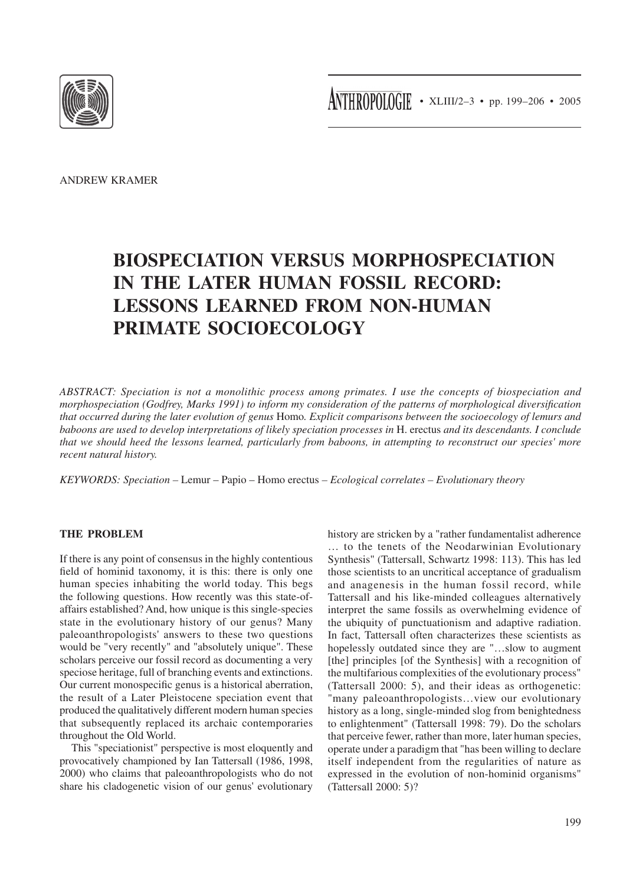

ANDREW KRAMER

# **BIOSPECIATION VERSUS MORPHOSPECIATION IN THE LATER HUMAN FOSSIL RECORD: LESSONS LEARNED FROM NON-HUMAN PRIMATE SOCIOECOLOGY**

*ABSTRACT: Speciation is not a monolithic process among primates. I use the concepts of biospeciation and morphospeciation (Godfrey, Marks 1991) to inform my consideration of the patterns of morphological diversification that occurred during the later evolution of genus* Homo*. Explicit comparisons between the socioecology of lemurs and baboons are used to develop interpretations of likely speciation processes in* H. erectus *and its descendants. I conclude that we should heed the lessons learned, particularly from baboons, in attempting to reconstruct our species' more recent natural history.*

*KEYWORDS: Speciation –* Lemur – Papio – Homo erectus *– Ecological correlates – Evolutionary theory*

#### **THE PROBLEM**

If there is any point of consensus in the highly contentious field of hominid taxonomy, it is this: there is only one human species inhabiting the world today. This begs the following questions. How recently was this state-ofaffairs established? And, how unique is this single-species state in the evolutionary history of our genus? Many paleoanthropologists' answers to these two questions would be "very recently" and "absolutely unique". These scholars perceive our fossil record as documenting a very speciose heritage, full of branching events and extinctions. Our current monospecific genus is a historical aberration, the result of a Later Pleistocene speciation event that produced the qualitatively different modern human species that subsequently replaced its archaic contemporaries throughout the Old World.

This "speciationist" perspective is most eloquently and provocatively championed by Ian Tattersall (1986, 1998, 2000) who claims that paleoanthropologists who do not share his cladogenetic vision of our genus' evolutionary history are stricken by a "rather fundamentalist adherence … to the tenets of the Neodarwinian Evolutionary Synthesis" (Tattersall, Schwartz 1998: 113). This has led those scientists to an uncritical acceptance of gradualism and anagenesis in the human fossil record, while Tattersall and his like-minded colleagues alternatively interpret the same fossils as overwhelming evidence of the ubiquity of punctuationism and adaptive radiation. In fact, Tattersall often characterizes these scientists as hopelessly outdated since they are "…slow to augment [the] principles [of the Synthesis] with a recognition of the multifarious complexities of the evolutionary process" (Tattersall 2000: 5), and their ideas as orthogenetic: "many paleoanthropologists…view our evolutionary history as a long, single-minded slog from benightedness to enlightenment" (Tattersall 1998: 79). Do the scholars that perceive fewer, rather than more, later human species, operate under a paradigm that "has been willing to declare itself independent from the regularities of nature as expressed in the evolution of non-hominid organisms" (Tattersall 2000: 5)?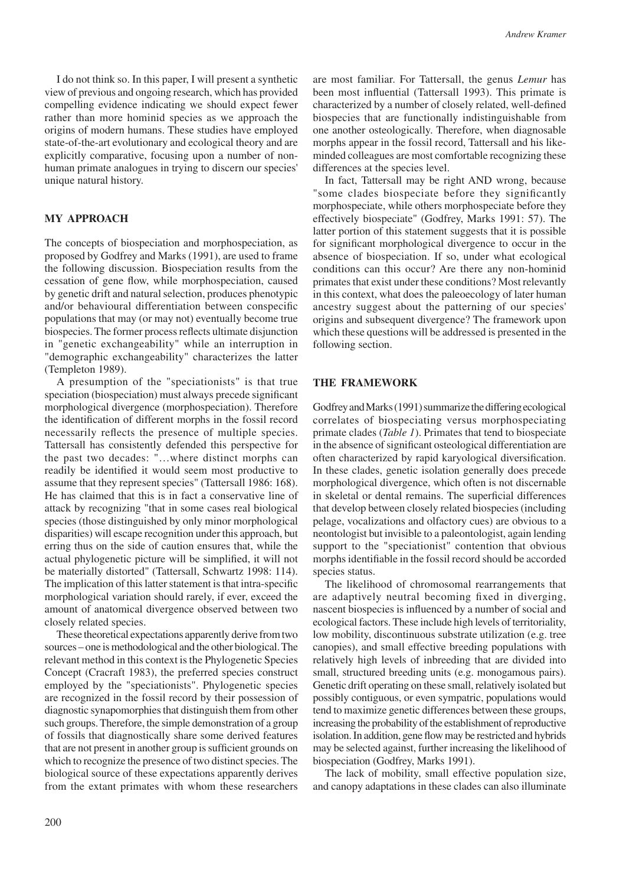I do not think so. In this paper, I will present a synthetic view of previous and ongoing research, which has provided compelling evidence indicating we should expect fewer rather than more hominid species as we approach the origins of modern humans. These studies have employed state-of-the-art evolutionary and ecological theory and are explicitly comparative, focusing upon a number of nonhuman primate analogues in trying to discern our species' unique natural history.

### **MY APPROACH**

The concepts of biospeciation and morphospeciation, as proposed by Godfrey and Marks (1991), are used to frame the following discussion. Biospeciation results from the cessation of gene flow, while morphospeciation, caused by genetic drift and natural selection, produces phenotypic and/or behavioural differentiation between conspecific populations that may (or may not) eventually become true biospecies. The former process reflects ultimate disjunction in "genetic exchangeability" while an interruption in "demographic exchangeability" characterizes the latter (Templeton 1989).

A presumption of the "speciationists" is that true speciation (biospeciation) must always precede significant morphological divergence (morphospeciation). Therefore the identification of different morphs in the fossil record necessarily reflects the presence of multiple species. Tattersall has consistently defended this perspective for the past two decades: "…where distinct morphs can readily be identified it would seem most productive to assume that they represent species" (Tattersall 1986: 168). He has claimed that this is in fact a conservative line of attack by recognizing "that in some cases real biological species (those distinguished by only minor morphological disparities) will escape recognition under this approach, but erring thus on the side of caution ensures that, while the actual phylogenetic picture will be simplified, it will not be materially distorted" (Tattersall, Schwartz 1998: 114). The implication of this latter statement is that intra-specific morphological variation should rarely, if ever, exceed the amount of anatomical divergence observed between two closely related species.

These theoretical expectations apparently derive from two sources – one is methodological and the other biological. The relevant method in this context is the Phylogenetic Species Concept (Cracraft 1983), the preferred species construct employed by the "speciationists". Phylogenetic species are recognized in the fossil record by their possession of diagnostic synapomorphies that distinguish them from other such groups. Therefore, the simple demonstration of a group of fossils that diagnostically share some derived features that are not present in another group is sufficient grounds on which to recognize the presence of two distinct species. The biological source of these expectations apparently derives from the extant primates with whom these researchers are most familiar. For Tattersall, the genus *Lemur* has been most influential (Tattersall 1993). This primate is characterized by a number of closely related, well-defined biospecies that are functionally indistinguishable from one another osteologically. Therefore, when diagnosable morphs appear in the fossil record, Tattersall and his likeminded colleagues are most comfortable recognizing these differences at the species level.

In fact, Tattersall may be right AND wrong, because "some clades biospeciate before they significantly morphospeciate, while others morphospeciate before they effectively biospeciate" (Godfrey, Marks 1991: 57). The latter portion of this statement suggests that it is possible for significant morphological divergence to occur in the absence of biospeciation. If so, under what ecological conditions can this occur? Are there any non-hominid primates that exist under these conditions? Most relevantly in this context, what does the paleoecology of later human ancestry suggest about the patterning of our species' origins and subsequent divergence? The framework upon which these questions will be addressed is presented in the following section.

#### **THE FRAMEWORK**

Godfrey and Marks (1991) summarize the differing ecological correlates of biospeciating versus morphospeciating primate clades (*Table 1*). Primates that tend to biospeciate in the absence of significant osteological differentiation are often characterized by rapid karyological diversification. In these clades, genetic isolation generally does precede morphological divergence, which often is not discernable in skeletal or dental remains. The superficial differences that develop between closely related biospecies (including pelage, vocalizations and olfactory cues) are obvious to a neontologist but invisible to a paleontologist, again lending support to the "speciationist" contention that obvious morphs identifiable in the fossil record should be accorded species status.

The likelihood of chromosomal rearrangements that are adaptively neutral becoming fixed in diverging, nascent biospecies is influenced by a number of social and ecological factors. These include high levels of territoriality, low mobility, discontinuous substrate utilization (e.g. tree canopies), and small effective breeding populations with relatively high levels of inbreeding that are divided into small, structured breeding units (e.g. monogamous pairs). Genetic drift operating on these small, relatively isolated but possibly contiguous, or even sympatric, populations would tend to maximize genetic differences between these groups, increasing the probability of the establishment of reproductive isolation. In addition, gene flow may be restricted and hybrids may be selected against, further increasing the likelihood of biospeciation (Godfrey, Marks 1991).

The lack of mobility, small effective population size, and canopy adaptations in these clades can also illuminate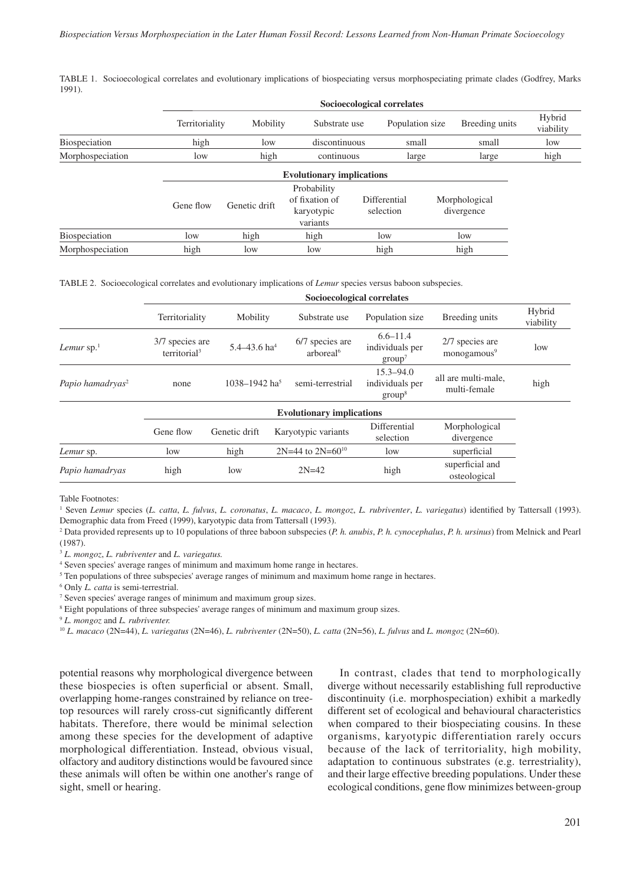TABLE 1. Socioecological correlates and evolutionary implications of biospeciating versus morphospeciating primate clades (Godfrey, Marks 1991).

|                  | Socioecological correlates |               |                                                         |                           |  |                             |                            |  |  |  |
|------------------|----------------------------|---------------|---------------------------------------------------------|---------------------------|--|-----------------------------|----------------------------|--|--|--|
|                  | Territoriality             | Mobility      | Substrate use                                           | Population size           |  | Breeding units<br>small     | Hybrid<br>viability<br>low |  |  |  |
| Biospeciation    | high                       | low           | discontinuous                                           | small                     |  |                             |                            |  |  |  |
| Morphospeciation | low                        | high          | continuous                                              | large                     |  | large                       | high                       |  |  |  |
|                  |                            |               |                                                         |                           |  |                             |                            |  |  |  |
|                  | Gene flow                  | Genetic drift | Probability<br>of fixation of<br>karyotypic<br>variants | Differential<br>selection |  | Morphological<br>divergence |                            |  |  |  |
| Biospeciation    | low                        | high          | high                                                    | low                       |  | low                         |                            |  |  |  |
| Morphospeciation | high                       | low           | low                                                     | high                      |  | high                        |                            |  |  |  |

TABLE 2. Socioecological correlates and evolutionary implications of *Lemur* species versus baboon subspecies.

|                              | Socioecological correlates                  |                              |                     |                                          |                                                        |                                            |                     |  |  |  |
|------------------------------|---------------------------------------------|------------------------------|---------------------|------------------------------------------|--------------------------------------------------------|--------------------------------------------|---------------------|--|--|--|
|                              | Territoriality                              | Mobility                     |                     | Substrate use                            | Population size                                        | Breeding units                             | Hybrid<br>viability |  |  |  |
| Lemur $sp.$ <sup>1</sup>     | 3/7 species are<br>territorial <sup>3</sup> | $5.4 - 43.6$ ha <sup>4</sup> |                     | 6/7 species are<br>arboreal <sup>6</sup> | $6.6 - 11.4$<br>individuals per<br>group <sup>7</sup>  | 2/7 species are<br>monogamous <sup>9</sup> | low                 |  |  |  |
| Papio hamadryas <sup>2</sup> | none                                        | 1038-1942 ha <sup>5</sup>    |                     | semi-terrestrial                         | $15.3 - 94.0$<br>individuals per<br>group <sup>8</sup> | all are multi-male,<br>multi-female        | high                |  |  |  |
|                              |                                             |                              |                     | <b>Evolutionary implications</b>         |                                                        |                                            |                     |  |  |  |
|                              | Gene flow                                   | Genetic drift                | Karyotypic variants |                                          | Differential<br>selection                              | Morphological<br>divergence                |                     |  |  |  |
| Lemur sp.                    | low                                         | high                         |                     | $2N=44$ to $2N=60^{10}$                  | low                                                    | superficial                                |                     |  |  |  |
| Papio hamadryas              | high                                        | low                          |                     | $2N=42$                                  | high                                                   | superficial and<br>osteological            |                     |  |  |  |

Table Footnotes:

1 Seven *Lemur* species (*L. catta*, *L. fulvus*, *L. coronatus*, *L. macaco*, *L. mongoz*, *L. rubriventer*, *L. variegatus*) identified by Tattersall (1993). Demographic data from Freed (1999), karyotypic data from Tattersall (1993).

2 Data provided represents up to 10 populations of three baboon subspecies (*P. h. anubis*, *P. h. cynocephalus*, *P. h. ursinus*) from Melnick and Pearl (1987).

<sup>3</sup> *L. mongoz*, *L. rubriventer* and *L. variegatus.*

4 Seven species' average ranges of minimum and maximum home range in hectares.

<sup>5</sup> Ten populations of three subspecies' average ranges of minimum and maximum home range in hectares.

6 Only *L. catta* is semi-terrestrial.

7 Seven species' average ranges of minimum and maximum group sizes.

<sup>8</sup> Eight populations of three subspecies' average ranges of minimum and maximum group sizes.

<sup>9</sup> *L. mongoz* and *L. rubriventer.*

<sup>10</sup> *L. macaco* (2N=44), *L. variegatus* (2N=46), *L. rubriventer* (2N=50), *L. catta* (2N=56), *L. fulvus* and *L. mongoz* (2N=60).

potential reasons why morphological divergence between these biospecies is often superficial or absent. Small, overlapping home-ranges constrained by reliance on treetop resources will rarely cross-cut significantly different habitats. Therefore, there would be minimal selection among these species for the development of adaptive morphological differentiation. Instead, obvious visual, olfactory and auditory distinctions would be favoured since these animals will often be within one another's range of sight, smell or hearing.

In contrast, clades that tend to morphologically diverge without necessarily establishing full reproductive discontinuity (i.e. morphospeciation) exhibit a markedly different set of ecological and behavioural characteristics when compared to their biospeciating cousins. In these organisms, karyotypic differentiation rarely occurs because of the lack of territoriality, high mobility, adaptation to continuous substrates (e.g. terrestriality), and their large effective breeding populations. Under these ecological conditions, gene flow minimizes between-group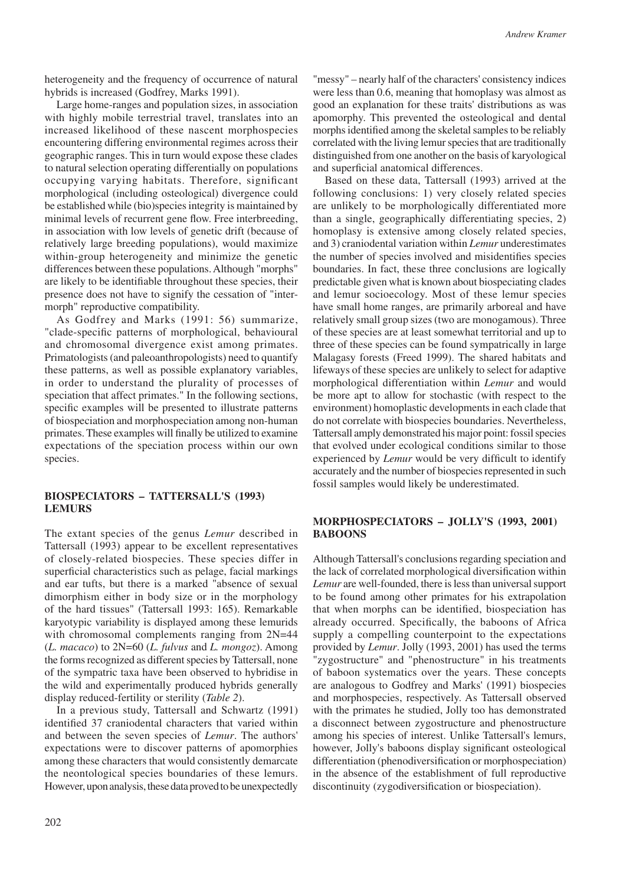heterogeneity and the frequency of occurrence of natural hybrids is increased (Godfrey, Marks 1991).

Large home-ranges and population sizes, in association with highly mobile terrestrial travel, translates into an increased likelihood of these nascent morphospecies encountering differing environmental regimes across their geographic ranges. This in turn would expose these clades to natural selection operating differentially on populations occupying varying habitats. Therefore, significant morphological (including osteological) divergence could be established while (bio)species integrity is maintained by minimal levels of recurrent gene flow. Free interbreeding, in association with low levels of genetic drift (because of relatively large breeding populations), would maximize within-group heterogeneity and minimize the genetic differences between these populations. Although "morphs" are likely to be identifiable throughout these species, their presence does not have to signify the cessation of "intermorph" reproductive compatibility.

As Godfrey and Marks (1991: 56) summarize, "clade-specific patterns of morphological, behavioural and chromosomal divergence exist among primates. Primatologists (and paleoanthropologists) need to quantify these patterns, as well as possible explanatory variables, in order to understand the plurality of processes of speciation that affect primates." In the following sections, specific examples will be presented to illustrate patterns of biospeciation and morphospeciation among non-human primates. These examples will finally be utilized to examine expectations of the speciation process within our own species.

#### **BIOSPECIATORS – TATTERSALL'S (1993) LEMURS**

The extant species of the genus *Lemur* described in Tattersall (1993) appear to be excellent representatives of closely-related biospecies. These species differ in superficial characteristics such as pelage, facial markings and ear tufts, but there is a marked "absence of sexual dimorphism either in body size or in the morphology of the hard tissues" (Tattersall 1993: 165). Remarkable karyotypic variability is displayed among these lemurids with chromosomal complements ranging from  $2N=44$ (*L. macaco*) to 2N=60 (*L. fulvus* and *L. mongoz*). Among the forms recognized as different species by Tattersall, none of the sympatric taxa have been observed to hybridise in the wild and experimentally produced hybrids generally display reduced-fertility or sterility (*Table 2*).

In a previous study, Tattersall and Schwartz (1991) identified 37 craniodental characters that varied within and between the seven species of *Lemur*. The authors' expectations were to discover patterns of apomorphies among these characters that would consistently demarcate the neontological species boundaries of these lemurs. However, upon analysis, these data proved to be unexpectedly "messy" – nearly half of the characters' consistency indices were less than 0.6, meaning that homoplasy was almost as good an explanation for these traits' distributions as was apomorphy. This prevented the osteological and dental morphs identified among the skeletal samples to be reliably correlated with the living lemur species that are traditionally distinguished from one another on the basis of karyological and superficial anatomical differences.

Based on these data, Tattersall (1993) arrived at the following conclusions: 1) very closely related species are unlikely to be morphologically differentiated more than a single, geographically differentiating species, 2) homoplasy is extensive among closely related species, and 3) craniodental variation within *Lemur* underestimates the number of species involved and misidentifies species boundaries. In fact, these three conclusions are logically predictable given what is known about biospeciating clades and lemur socioecology. Most of these lemur species have small home ranges, are primarily arboreal and have relatively small group sizes (two are monogamous). Three of these species are at least somewhat territorial and up to three of these species can be found sympatrically in large Malagasy forests (Freed 1999). The shared habitats and lifeways of these species are unlikely to select for adaptive morphological differentiation within *Lemur* and would be more apt to allow for stochastic (with respect to the environment) homoplastic developments in each clade that do not correlate with biospecies boundaries. Nevertheless, Tattersall amply demonstrated his major point: fossil species that evolved under ecological conditions similar to those experienced by *Lemur* would be very difficult to identify accurately and the number of biospecies represented in such fossil samples would likely be underestimated.

#### **MORPHOSPECIATORS – JOLLY'S (1993, 2001) BABOONS**

Although Tattersall's conclusions regarding speciation and the lack of correlated morphological diversification within *Lemur* are well-founded, there is less than universal support to be found among other primates for his extrapolation that when morphs can be identified, biospeciation has already occurred. Specifically, the baboons of Africa supply a compelling counterpoint to the expectations provided by *Lemur*. Jolly (1993, 2001) has used the terms "zygostructure" and "phenostructure" in his treatments of baboon systematics over the years. These concepts are analogous to Godfrey and Marks' (1991) biospecies and morphospecies, respectively. As Tattersall observed with the primates he studied, Jolly too has demonstrated a disconnect between zygostructure and phenostructure among his species of interest. Unlike Tattersall's lemurs, however, Jolly's baboons display significant osteological differentiation (phenodiversification or morphospeciation) in the absence of the establishment of full reproductive discontinuity (zygodiversification or biospeciation).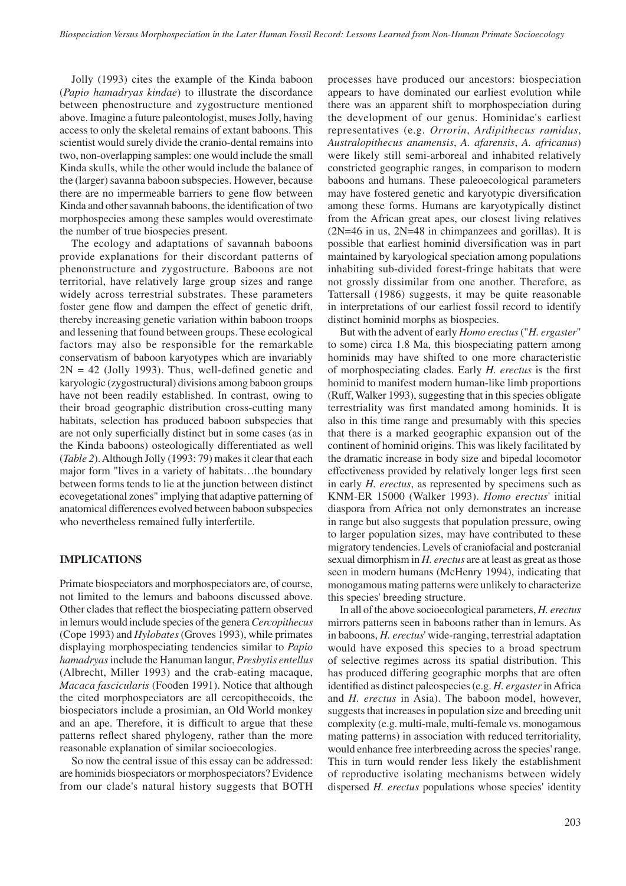Jolly (1993) cites the example of the Kinda baboon (*Papio hamadryas kindae*) to illustrate the discordance between phenostructure and zygostructure mentioned above. Imagine a future paleontologist, muses Jolly, having access to only the skeletal remains of extant baboons. This scientist would surely divide the cranio-dental remains into two, non-overlapping samples: one would include the small Kinda skulls, while the other would include the balance of the (larger) savanna baboon subspecies. However, because there are no impermeable barriers to gene flow between Kinda and other savannah baboons, the identification of two morphospecies among these samples would overestimate the number of true biospecies present.

The ecology and adaptations of savannah baboons provide explanations for their discordant patterns of phenonstructure and zygostructure. Baboons are not territorial, have relatively large group sizes and range widely across terrestrial substrates. These parameters foster gene flow and dampen the effect of genetic drift, thereby increasing genetic variation within baboon troops and lessening that found between groups. These ecological factors may also be responsible for the remarkable conservatism of baboon karyotypes which are invariably  $2N = 42$  (Jolly 1993). Thus, well-defined genetic and karyologic (zygostructural) divisions among baboon groups have not been readily established. In contrast, owing to their broad geographic distribution cross-cutting many habitats, selection has produced baboon subspecies that are not only superficially distinct but in some cases (as in the Kinda baboons) osteologically differentiated as well (*Table 2*). Although Jolly (1993: 79) makes it clear that each major form "lives in a variety of habitats…the boundary between forms tends to lie at the junction between distinct ecovegetational zones" implying that adaptive patterning of anatomical differences evolved between baboon subspecies who nevertheless remained fully interfertile.

#### **IMPLICATIONS**

Primate biospeciators and morphospeciators are, of course, not limited to the lemurs and baboons discussed above. Other clades that reflect the biospeciating pattern observed in lemurs would include species of the genera *Cercopithecus* (Cope 1993) and *Hylobates* (Groves 1993), while primates displaying morphospeciating tendencies similar to *Papio hamadryas* include the Hanuman langur, *Presbytis entellus* (Albrecht, Miller 1993) and the crab-eating macaque, *Macaca fascicularis* (Fooden 1991). Notice that although the cited morphospeciators are all cercopithecoids, the biospeciators include a prosimian, an Old World monkey and an ape. Therefore, it is difficult to argue that these patterns reflect shared phylogeny, rather than the more reasonable explanation of similar socioecologies.

So now the central issue of this essay can be addressed: are hominids biospeciators or morphospeciators? Evidence from our clade's natural history suggests that BOTH processes have produced our ancestors: biospeciation appears to have dominated our earliest evolution while there was an apparent shift to morphospeciation during the development of our genus. Hominidae's earliest representatives (e.g. *Orrorin*, *Ardipithecus ramidus*, *Australopithecus anamensis*, *A. afarensis*, *A. africanus*) were likely still semi-arboreal and inhabited relatively constricted geographic ranges, in comparison to modern baboons and humans. These paleoecological parameters may have fostered genetic and karyotypic diversification among these forms. Humans are karyotypically distinct from the African great apes, our closest living relatives  $(2N=46$  in us,  $2N=48$  in chimpanzees and gorillas). It is possible that earliest hominid diversification was in part maintained by karyological speciation among populations inhabiting sub-divided forest-fringe habitats that were not grossly dissimilar from one another. Therefore, as Tattersall (1986) suggests, it may be quite reasonable in interpretations of our earliest fossil record to identify distinct hominid morphs as biospecies.

But with the advent of early *Homo erectus* ("*H. ergaster*" to some) circa 1.8 Ma, this biospeciating pattern among hominids may have shifted to one more characteristic of morphospeciating clades. Early *H. erectus* is the first hominid to manifest modern human-like limb proportions (Ruff, Walker 1993), suggesting that in this species obligate terrestriality was first mandated among hominids. It is also in this time range and presumably with this species that there is a marked geographic expansion out of the continent of hominid origins. This was likely facilitated by the dramatic increase in body size and bipedal locomotor effectiveness provided by relatively longer legs first seen in early *H. erectus*, as represented by specimens such as KNM-ER 15000 (Walker 1993). *Homo erectus*' initial diaspora from Africa not only demonstrates an increase in range but also suggests that population pressure, owing to larger population sizes, may have contributed to these migratory tendencies. Levels of craniofacial and postcranial sexual dimorphism in *H. erectus* are at least as great as those seen in modern humans (McHenry 1994), indicating that monogamous mating patterns were unlikely to characterize this species' breeding structure.

In all of the above socioecological parameters, *H. erectus* mirrors patterns seen in baboons rather than in lemurs. As in baboons, *H. erectus*' wide-ranging, terrestrial adaptation would have exposed this species to a broad spectrum of selective regimes across its spatial distribution. This has produced differing geographic morphs that are often identified as distinct paleospecies (e.g. *H. ergaster* in Africa and *H. erectus* in Asia). The baboon model, however, suggests that increases in population size and breeding unit complexity (e.g. multi-male, multi-female vs. monogamous mating patterns) in association with reduced territoriality, would enhance free interbreeding across the species' range. This in turn would render less likely the establishment of reproductive isolating mechanisms between widely dispersed *H. erectus* populations whose species' identity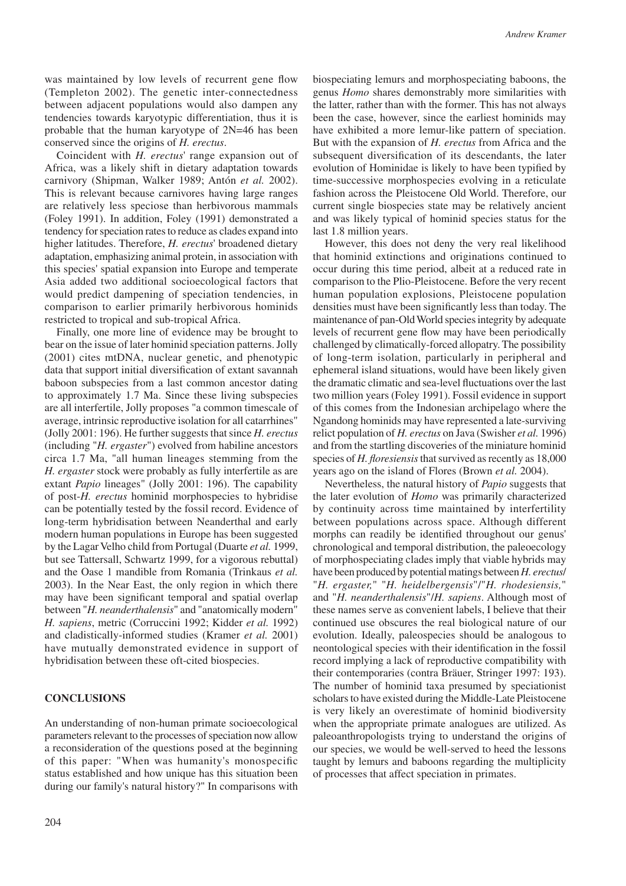was maintained by low levels of recurrent gene flow (Templeton 2002). The genetic inter-connectedness between adjacent populations would also dampen any tendencies towards karyotypic differentiation, thus it is probable that the human karyotype of 2N=46 has been conserved since the origins of *H. erectus*.

Coincident with *H. erectus*' range expansion out of Africa, was a likely shift in dietary adaptation towards carnivory (Shipman, Walker 1989; Antón *et al.* 2002). This is relevant because carnivores having large ranges are relatively less speciose than herbivorous mammals (Foley 1991). In addition, Foley (1991) demonstrated a tendency for speciation rates to reduce as clades expand into higher latitudes. Therefore, *H. erectus*' broadened dietary adaptation, emphasizing animal protein, in association with this species' spatial expansion into Europe and temperate Asia added two additional socioecological factors that would predict dampening of speciation tendencies, in comparison to earlier primarily herbivorous hominids restricted to tropical and sub-tropical Africa.

Finally, one more line of evidence may be brought to bear on the issue of later hominid speciation patterns. Jolly (2001) cites mtDNA, nuclear genetic, and phenotypic data that support initial diversification of extant savannah baboon subspecies from a last common ancestor dating to approximately 1.7 Ma. Since these living subspecies are all interfertile, Jolly proposes "a common timescale of average, intrinsic reproductive isolation for all catarrhines" (Jolly 2001: 196). He further suggests that since *H. erectus* (including "*H. ergaster*") evolved from habiline ancestors circa 1.7 Ma, "all human lineages stemming from the *H. ergaster* stock were probably as fully interfertile as are extant *Papio* lineages" (Jolly 2001: 196). The capability of post-*H. erectus* hominid morphospecies to hybridise can be potentially tested by the fossil record. Evidence of long-term hybridisation between Neanderthal and early modern human populations in Europe has been suggested by the Lagar Velho child from Portugal (Duarte *et al.* 1999, but see Tattersall, Schwartz 1999, for a vigorous rebuttal) and the Oase 1 mandible from Romania (Trinkaus *et al.* 2003). In the Near East, the only region in which there may have been significant temporal and spatial overlap between "*H. neanderthalensis*" and "anatomically modern" *H. sapiens*, metric (Corruccini 1992; Kidder *et al.* 1992) and cladistically-informed studies (Kramer *et al.* 2001) have mutually demonstrated evidence in support of hybridisation between these oft-cited biospecies.

### **CONCLUSIONS**

An understanding of non-human primate socioecological parameters relevant to the processes of speciation now allow a reconsideration of the questions posed at the beginning of this paper: "When was humanity's monospecific status established and how unique has this situation been during our family's natural history?" In comparisons with biospeciating lemurs and morphospeciating baboons, the genus *Homo* shares demonstrably more similarities with the latter, rather than with the former. This has not always been the case, however, since the earliest hominids may have exhibited a more lemur-like pattern of speciation. But with the expansion of *H. erectus* from Africa and the subsequent diversification of its descendants, the later evolution of Hominidae is likely to have been typified by time-successive morphospecies evolving in a reticulate fashion across the Pleistocene Old World. Therefore, our current single biospecies state may be relatively ancient and was likely typical of hominid species status for the last 1.8 million years.

However, this does not deny the very real likelihood that hominid extinctions and originations continued to occur during this time period, albeit at a reduced rate in comparison to the Plio-Pleistocene. Before the very recent human population explosions, Pleistocene population densities must have been significantly less than today. The maintenance of pan-Old World species integrity by adequate levels of recurrent gene flow may have been periodically challenged by climatically-forced allopatry. The possibility of long-term isolation, particularly in peripheral and ephemeral island situations, would have been likely given the dramatic climatic and sea-level fluctuations over the last two million years (Foley 1991). Fossil evidence in support of this comes from the Indonesian archipelago where the Ngandong hominids may have represented a late-surviving relict population of *H. erectus* on Java (Swisher *et al.* 1996) and from the startling discoveries of the miniature hominid species of *H. floresiensis* that survived as recently as 18,000 years ago on the island of Flores (Brown *et al.* 2004).

Nevertheless, the natural history of *Papio* suggests that the later evolution of *Homo* was primarily characterized by continuity across time maintained by interfertility between populations across space. Although different morphs can readily be identified throughout our genus' chronological and temporal distribution, the paleoecology of morphospeciating clades imply that viable hybrids may have been produced by potential matings between *H. erectus*/ "*H. ergaster,*" "*H. heidelbergensis*"/"*H. rhodesiensis,*" and "*H. neanderthalensis*"/*H. sapiens*. Although most of these names serve as convenient labels, I believe that their continued use obscures the real biological nature of our evolution. Ideally, paleospecies should be analogous to neontological species with their identification in the fossil record implying a lack of reproductive compatibility with their contemporaries (contra Bräuer, Stringer 1997: 193). The number of hominid taxa presumed by speciationist scholars to have existed during the Middle-Late Pleistocene is very likely an overestimate of hominid biodiversity when the appropriate primate analogues are utilized. As paleoanthropologists trying to understand the origins of our species, we would be well-served to heed the lessons taught by lemurs and baboons regarding the multiplicity of processes that affect speciation in primates.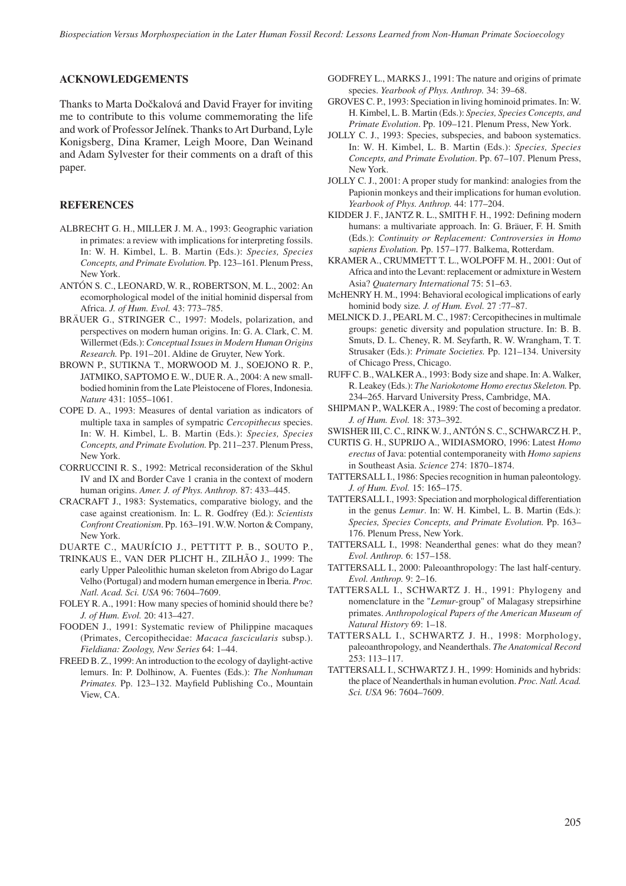#### **ACKNOWLEDGEMENTS**

Thanks to Marta Dočkalová and David Frayer for inviting me to contribute to this volume commemorating the life and work of Professor Jelínek. Thanks to Art Durband, Lyle Konigsberg, Dina Kramer, Leigh Moore, Dan Weinand and Adam Sylvester for their comments on a draft of this paper.

## **REFERENCES**

- ALBRECHT G. H., MILLER J. M. A., 1993: Geographic variation in primates: a review with implications for interpreting fossils. In: W. H. Kimbel, L. B. Martin (Eds.): *Species, Species Concepts, and Primate Evolution.* Pp. 123–161. Plenum Press, New York.
- ANTÓN S. C., LEONARD, W. R., ROBERTSON, M. L., 2002: An ecomorphological model of the initial hominid dispersal from Africa. *J. of Hum. Evol.* 43: 773–785.
- BRÄUER G., STRINGER C., 1997: Models, polarization, and perspectives on modern human origins. In: G. A. Clark, C. M. Willermet (Eds.): *Conceptual Issues in Modern Human Origins Research.* Pp. 191–201. Aldine de Gruyter, New York.
- BROWN P., SUTIKNA T., MORWOOD M. J., SOEJONO R. P., JATMIKO, SAPTOMO E. W., DUE R. A., 2004: A new smallbodied hominin from the Late Pleistocene of Flores, Indonesia. *Nature* 431: 1055–1061.
- COPE D. A., 1993: Measures of dental variation as indicators of multiple taxa in samples of sympatric *Cercopithecus* species. In: W. H. Kimbel, L. B. Martin (Eds.): *Species, Species Concepts, and Primate Evolution.* Pp. 211–237. Plenum Press, New York.
- CORRUCCINI R. S., 1992: Metrical reconsideration of the Skhul IV and IX and Border Cave 1 crania in the context of modern human origins. *Amer. J. of Phys. Anthrop.* 87: 433–445.
- CRACRAFT J., 1983: Systematics, comparative biology, and the case against creationism. In: L. R. Godfrey (Ed.): *Scientists Confront Creationism*. Pp. 163–191. W.W. Norton & Company, New York.

DUARTE C., MAURÍCIO J., PETTITT P. B., SOUTO P.,

- TRINKAUS E., VAN DER PLICHT H., ZILHÃO J., 1999: The early Upper Paleolithic human skeleton from Abrigo do Lagar Velho (Portugal) and modern human emergence in Iberia. *Proc. Natl. Acad. Sci. USA* 96: 7604–7609.
- FOLEY R. A., 1991: How many species of hominid should there be? *J. of Hum. Evol.* 20: 413–427.
- FOODEN J., 1991: Systematic review of Philippine macaques (Primates, Cercopithecidae: *Macaca fascicularis* subsp.). *Fieldiana: Zoology, New Series* 64: 1–44.
- FREED B. Z., 1999: An introduction to the ecology of daylight-active lemurs. In: P. Dolhinow, A. Fuentes (Eds.): *The Nonhuman Primates.* Pp. 123–132. Mayfield Publishing Co., Mountain View, CA.
- GODFREY L., MARKS J., 1991: The nature and origins of primate species. *Yearbook of Phys. Anthrop.* 34: 39–68.
- GROVES C. P., 1993: Speciation in living hominoid primates. In: W. H. Kimbel, L. B. Martin (Eds.): *Species, Species Concepts, and Primate Evolution*. Pp. 109–121. Plenum Press, New York.
- JOLLY C. J., 1993: Species, subspecies, and baboon systematics. In: W. H. Kimbel, L. B. Martin (Eds.): *Species, Species Concepts, and Primate Evolution*. Pp. 67–107. Plenum Press, New York.
- JOLLY C. J., 2001: A proper study for mankind: analogies from the Papionin monkeys and their implications for human evolution. *Yearbook of Phys. Anthrop.* 44: 177–204.
- KIDDER J. F., JANTZ R. L., SMITH F. H., 1992: Defining modern humans: a multivariate approach. In: G. Bräuer, F. H. Smith (Eds.): *Continuity or Replacement: Controversies in Homo sapiens Evolution.* Pp. 157–177. Balkema, Rotterdam.
- KRAMER A., CRUMMETT T. L., WOLPOFF M. H., 2001: Out of Africa and into the Levant: replacement or admixture in Western Asia? *Quaternary International* 75: 51–63.
- McHENRY H. M., 1994: Behavioral ecological implications of early hominid body size*. J. of Hum. Evol.* 27 :77–87.
- MELNICK D. J., PEARL M. C., 1987: Cercopithecines in multimale groups: genetic diversity and population structure. In: B. B. Smuts, D. L. Cheney, R. M. Seyfarth, R. W. Wrangham, T. T. Strusaker (Eds.): *Primate Societies.* Pp. 121–134. University of Chicago Press, Chicago.
- RUFF C. B., WALKER A., 1993: Body size and shape. In: A. Walker, R. Leakey (Eds.): *The Nariokotome Homo erectus Skeleton.* Pp. 234–265. Harvard University Press, Cambridge, MA.
- SHIPMAN P., WALKER A., 1989: The cost of becoming a predator. *J. of Hum. Evol.* 18: 373–392.
- SWISHER III, C. C., RINK W. J., ANTÓN S. C., SCHWARCZ H. P.,
- CURTIS G. H., SUPRIJO A., WIDIASMORO, 1996: Latest *Homo erectus* of Java: potential contemporaneity with *Homo sapiens* in Southeast Asia. *Science* 274: 1870–1874.
- TATTERSALL I., 1986: Species recognition in human paleontology. *J. of Hum. Evol.* 15: 165–175.
- TATTERSALL I., 1993: Speciation and morphological differentiation in the genus *Lemur*. In: W. H. Kimbel, L. B. Martin (Eds.): *Species, Species Concepts, and Primate Evolution.* Pp. 163– 176. Plenum Press, New York.
- TATTERSALL I., 1998: Neanderthal genes: what do they mean? *Evol. Anthrop.* 6: 157–158.
- TATTERSALL I., 2000: Paleoanthropology: The last half-century. *Evol. Anthrop.* 9: 2–16.
- TATTERSALL I., SCHWARTZ J. H., 1991: Phylogeny and nomenclature in the "*Lemur*-group" of Malagasy strepsirhine primates. *Anthropological Papers of the American Museum of Natural History* 69: 1–18.
- TATTERSALL I., SCHWARTZ J. H., 1998: Morphology, paleoanthropology, and Neanderthals. *The Anatomical Record* 253: 113–117.
- TATTERSALL I., SCHWARTZ J. H., 1999: Hominids and hybrids: the place of Neanderthals in human evolution. *Proc. Natl. Acad. Sci. USA* 96: 7604–7609.